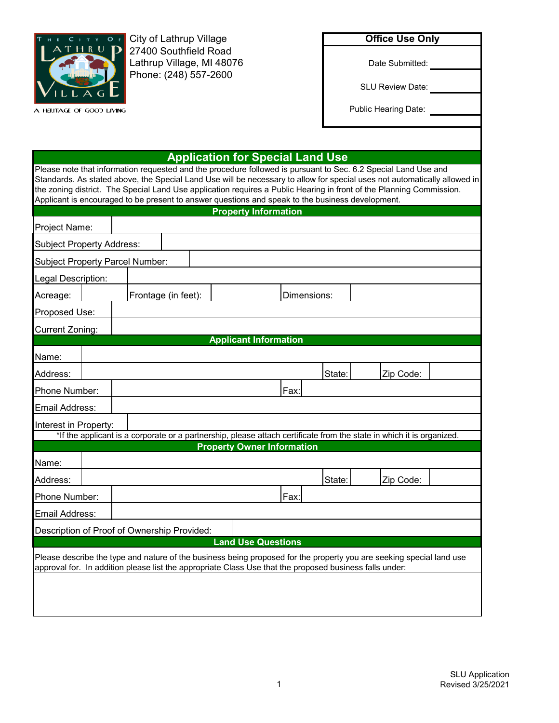

27400 Southfield Road City of Lathrup Village Lathrup Village, MI 48076 Phone: (248) 557-2600

| <b>Office Use Only</b> |  |
|------------------------|--|
|------------------------|--|

Date Submitted:

SLU Review Date:

Public Hearing Date:

## **Application for Special Land Use**

Please note that information requested and the procedure followed is pursuant to Sec. 6.2 Special Land Use and Standards. As stated above, the Special Land Use will be necessary to allow for special uses not automatically allowed in the zoning district. The Special Land Use application requires a Public Hearing in front of the Planning Commission. Applicant is encouraged to be present to answer questions and speak to the business development.

|                                                                                                                                                                                                                                 |  |                     |  |  | <b>Property Information</b>  |                                   |        |                                                                                                                       |  |
|---------------------------------------------------------------------------------------------------------------------------------------------------------------------------------------------------------------------------------|--|---------------------|--|--|------------------------------|-----------------------------------|--------|-----------------------------------------------------------------------------------------------------------------------|--|
| Project Name:                                                                                                                                                                                                                   |  |                     |  |  |                              |                                   |        |                                                                                                                       |  |
| <b>Subject Property Address:</b>                                                                                                                                                                                                |  |                     |  |  |                              |                                   |        |                                                                                                                       |  |
| <b>Subject Property Parcel Number:</b>                                                                                                                                                                                          |  |                     |  |  |                              |                                   |        |                                                                                                                       |  |
| Legal Description:                                                                                                                                                                                                              |  |                     |  |  |                              |                                   |        |                                                                                                                       |  |
| Acreage:                                                                                                                                                                                                                        |  | Frontage (in feet): |  |  |                              | Dimensions:                       |        |                                                                                                                       |  |
| Proposed Use:                                                                                                                                                                                                                   |  |                     |  |  |                              |                                   |        |                                                                                                                       |  |
| <b>Current Zoning:</b>                                                                                                                                                                                                          |  |                     |  |  |                              |                                   |        |                                                                                                                       |  |
|                                                                                                                                                                                                                                 |  |                     |  |  | <b>Applicant Information</b> |                                   |        |                                                                                                                       |  |
| Name:                                                                                                                                                                                                                           |  |                     |  |  |                              |                                   |        |                                                                                                                       |  |
| Address:                                                                                                                                                                                                                        |  |                     |  |  |                              |                                   | State: | Zip Code:                                                                                                             |  |
| Phone Number:                                                                                                                                                                                                                   |  |                     |  |  |                              | Fax:                              |        |                                                                                                                       |  |
| <b>Email Address:</b>                                                                                                                                                                                                           |  |                     |  |  |                              |                                   |        |                                                                                                                       |  |
| Interest in Property:                                                                                                                                                                                                           |  |                     |  |  |                              |                                   |        |                                                                                                                       |  |
|                                                                                                                                                                                                                                 |  |                     |  |  |                              |                                   |        | *If the applicant is a corporate or a partnership, please attach certificate from the state in which it is organized. |  |
|                                                                                                                                                                                                                                 |  |                     |  |  |                              | <b>Property Owner Information</b> |        |                                                                                                                       |  |
| Name:                                                                                                                                                                                                                           |  |                     |  |  |                              |                                   |        |                                                                                                                       |  |
| Address:                                                                                                                                                                                                                        |  |                     |  |  |                              |                                   | State: | Zip Code:                                                                                                             |  |
| Phone Number:                                                                                                                                                                                                                   |  |                     |  |  |                              | Fax:                              |        |                                                                                                                       |  |
| <b>Email Address:</b>                                                                                                                                                                                                           |  |                     |  |  |                              |                                   |        |                                                                                                                       |  |
| Description of Proof of Ownership Provided:                                                                                                                                                                                     |  |                     |  |  |                              |                                   |        |                                                                                                                       |  |
|                                                                                                                                                                                                                                 |  |                     |  |  | <b>Land Use Questions</b>    |                                   |        |                                                                                                                       |  |
| Please describe the type and nature of the business being proposed for the property you are seeking special land use<br>approval for. In addition please list the appropriate Class Use that the proposed business falls under: |  |                     |  |  |                              |                                   |        |                                                                                                                       |  |
|                                                                                                                                                                                                                                 |  |                     |  |  |                              |                                   |        |                                                                                                                       |  |
|                                                                                                                                                                                                                                 |  |                     |  |  |                              |                                   |        |                                                                                                                       |  |
|                                                                                                                                                                                                                                 |  |                     |  |  |                              |                                   |        |                                                                                                                       |  |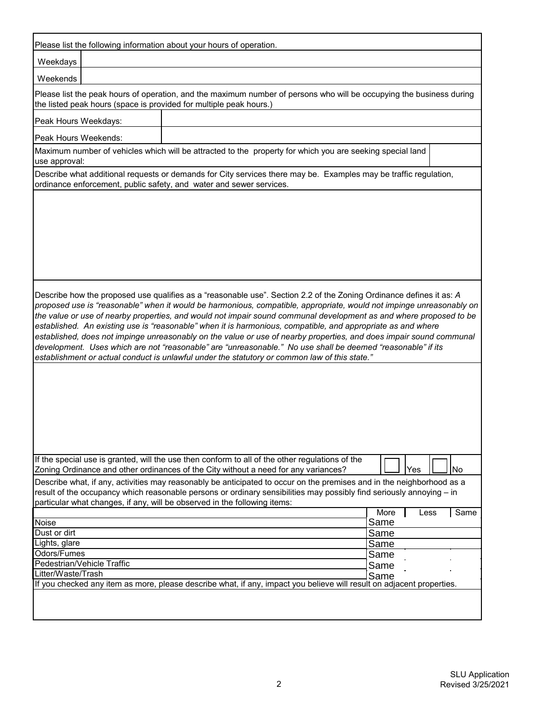| Please list the following information about your hours of operation.<br>Weekdays<br>Weekends<br>Please list the peak hours of operation, and the maximum number of persons who will be occupying the business during<br>the listed peak hours (space is provided for multiple peak hours.)<br>Peak Hours Weekdays:<br>Peak Hours Weekends:<br>Maximum number of vehicles which will be attracted to the property for which you are seeking special land<br>use approval:<br>Describe what additional requests or demands for City services there may be. Examples may be traffic regulation,<br>ordinance enforcement, public safety, and water and sewer services. |
|---------------------------------------------------------------------------------------------------------------------------------------------------------------------------------------------------------------------------------------------------------------------------------------------------------------------------------------------------------------------------------------------------------------------------------------------------------------------------------------------------------------------------------------------------------------------------------------------------------------------------------------------------------------------|
|                                                                                                                                                                                                                                                                                                                                                                                                                                                                                                                                                                                                                                                                     |
|                                                                                                                                                                                                                                                                                                                                                                                                                                                                                                                                                                                                                                                                     |
|                                                                                                                                                                                                                                                                                                                                                                                                                                                                                                                                                                                                                                                                     |
|                                                                                                                                                                                                                                                                                                                                                                                                                                                                                                                                                                                                                                                                     |
|                                                                                                                                                                                                                                                                                                                                                                                                                                                                                                                                                                                                                                                                     |
|                                                                                                                                                                                                                                                                                                                                                                                                                                                                                                                                                                                                                                                                     |
|                                                                                                                                                                                                                                                                                                                                                                                                                                                                                                                                                                                                                                                                     |
|                                                                                                                                                                                                                                                                                                                                                                                                                                                                                                                                                                                                                                                                     |
|                                                                                                                                                                                                                                                                                                                                                                                                                                                                                                                                                                                                                                                                     |
|                                                                                                                                                                                                                                                                                                                                                                                                                                                                                                                                                                                                                                                                     |
|                                                                                                                                                                                                                                                                                                                                                                                                                                                                                                                                                                                                                                                                     |
|                                                                                                                                                                                                                                                                                                                                                                                                                                                                                                                                                                                                                                                                     |
|                                                                                                                                                                                                                                                                                                                                                                                                                                                                                                                                                                                                                                                                     |
| established. An existing use is "reasonable" when it is harmonious, compatible, and appropriate as and where<br>established, does not impinge unreasonably on the value or use of nearby properties, and does impair sound communal<br>development. Uses which are not "reasonable" are "unreasonable." No use shall be deemed "reasonable" if its<br>establishment or actual conduct is unlawful under the statutory or common law of this state."                                                                                                                                                                                                                 |
|                                                                                                                                                                                                                                                                                                                                                                                                                                                                                                                                                                                                                                                                     |
| If the special use is granted, will the use then conform to all of the other regulations of the<br>Zoning Ordinance and other ordinances of the City without a need for any variances?<br>Yes<br>No                                                                                                                                                                                                                                                                                                                                                                                                                                                                 |
| Describe what, if any, activities may reasonably be anticipated to occur on the premises and in the neighborhood as a<br>result of the occupancy which reasonable persons or ordinary sensibilities may possibly find seriously annoying – in<br>particular what changes, if any, will be observed in the following items:                                                                                                                                                                                                                                                                                                                                          |
| Same<br>More<br>Less<br>Same<br>Noise                                                                                                                                                                                                                                                                                                                                                                                                                                                                                                                                                                                                                               |
| Dust or dirt<br>Same                                                                                                                                                                                                                                                                                                                                                                                                                                                                                                                                                                                                                                                |
| Lights, glare<br>Same                                                                                                                                                                                                                                                                                                                                                                                                                                                                                                                                                                                                                                               |
| Odors/Fumes<br>Same                                                                                                                                                                                                                                                                                                                                                                                                                                                                                                                                                                                                                                                 |
| <b>Pedestrian/Vehicle Traffic</b><br>Same                                                                                                                                                                                                                                                                                                                                                                                                                                                                                                                                                                                                                           |
| Litter/Waste/Trash<br>Same                                                                                                                                                                                                                                                                                                                                                                                                                                                                                                                                                                                                                                          |
| If you checked any item as more, please describe what, if any, impact you believe will result on adjacent properties.                                                                                                                                                                                                                                                                                                                                                                                                                                                                                                                                               |
|                                                                                                                                                                                                                                                                                                                                                                                                                                                                                                                                                                                                                                                                     |